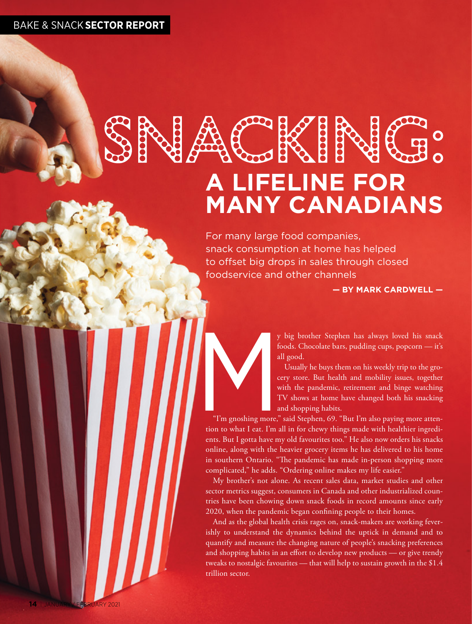# **A LIFELINE FOR MANY CANADIANS**

For many large food companies, snack consumption at home has helped to offset big drops in sales through closed foodservice and other channels

**— BY MARK CARDWELL —**

foods. Chocolate bars, pudding cups, popcorn — it's all good.

My big brother Stephen has always loved his snack<br>foods. Chocolate bars, pudding cups, popcorn — it's<br>all good.<br>Usually he buys them on his weekly trip to the gro-<br>cery store. But health and mobility issues, together<br>with Usually he buys them on his weekly trip to the grocery store. But health and mobility issues, together with the pandemic, retirement and binge watching TV shows at home have changed both his snacking and shopping habits.

"I'm gnoshing more," said Stephen, 69. "But I'm also paying more attention to what I eat. I'm all in for chewy things made with healthier ingredients. But I gotta have my old favourites too." He also now orders his snacks online, along with the heavier grocery items he has delivered to his home in southern Ontario. "The pandemic has made in-person shopping more complicated," he adds. "Ordering online makes my life easier."

My brother's not alone. As recent sales data, market studies and other sector metrics suggest, consumers in Canada and other industrialized countries have been chowing down snack foods in record amounts since early 2020, when the pandemic began confining people to their homes.

And as the global health crisis rages on, snack-makers are working feverishly to understand the dynamics behind the uptick in demand and to quantify and measure the changing nature of people's snacking preferences and shopping habits in an effort to develop new products — or give trendy tweaks to nostalgic favourites — that will help to sustain growth in the \$1.4 trillion sector.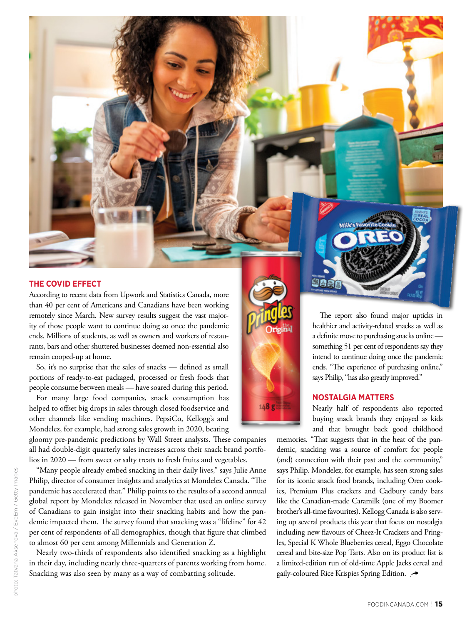

According to recent data from Upwork and Statistics Canada, more than 40 per cent of Americans and Canadians have been working remotely since March. New survey results suggest the vast majority of those people want to continue doing so once the pandemic ends. Millions of students, as well as owners and workers of restaurants, bars and other shuttered businesses deemed non-essential also remain cooped-up at home.

So, it's no surprise that the sales of snacks — defined as small portions of ready-to-eat packaged, processed or fresh foods that people consume between meals — have soared during this period.

For many large food companies, snack consumption has helped to offset big drops in sales through closed foodservice and other channels like vending machines. PepsiCo, Kellogg's and Mondelez, for example, had strong sales growth in 2020, beating

gloomy pre-pandemic predictions by Wall Street analysts. These companies all had double-digit quarterly sales increases across their snack brand portfolios in 2020 — from sweet or salty treats to fresh fruits and vegetables.

"Many people already embed snacking in their daily lives," says Julie Anne Philip, director of consumer insights and analytics at Mondelez Canada. "The pandemic has accelerated that." Philip points to the results of a second annual global report by Mondelez released in November that used an online survey of Canadians to gain insight into their snacking habits and how the pandemic impacted them. The survey found that snacking was a "lifeline" for 42 per cent of respondents of all demographics, though that figure that climbed to almost 60 per cent among Millennials and Generation Z.

Nearly two-thirds of respondents also identified snacking as a highlight in their day, including nearly three-quarters of parents working from home. Snacking was also seen by many as a way of combatting solitude.



The report also found major upticks in healthier and activity-related snacks as well as a definite move to purchasing snacks online something 51 per cent of respondents say they intend to continue doing once the pandemic ends. "The experience of purchasing online," says Philip, "has also greatly improved."

#### **NOSTALGIA MATTERS**

Nearly half of respondents also reported buying snack brands they enjoyed as kids and that brought back good childhood

memories. "That suggests that in the heat of the pandemic, snacking was a source of comfort for people (and) connection with their past and the community," says Philip. Mondelez, for example, has seen strong sales for its iconic snack food brands, including Oreo cookies, Premium Plus crackers and Cadbury candy bars like the Canadian-made Caramilk (one of my Boomer brother's all-time favourites). Kellogg Canada is also serving up several products this year that focus on nostalgia including new flavours of Cheez-It Crackers and Pringles, Special K Whole Blueberries cereal, Eggo Chocolate cereal and bite-size Pop Tarts. Also on its product list is a limited-edition run of old-time Apple Jacks cereal and gaily-coloured Rice Krispies Spring Edition.